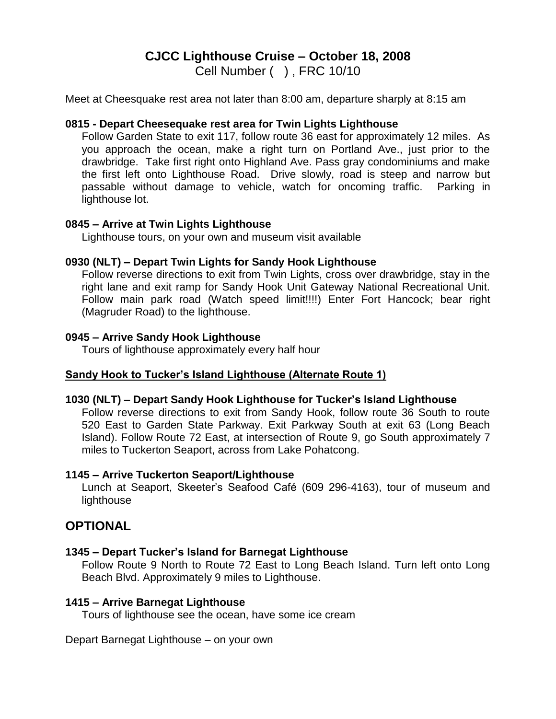# **CJCC Lighthouse Cruise – October 18, 2008**

Cell Number ( ) , FRC 10/10

Meet at Cheesquake rest area not later than 8:00 am, departure sharply at 8:15 am

### **0815 - Depart Cheesequake rest area for Twin Lights Lighthouse**

Follow Garden State to exit 117, follow route 36 east for approximately 12 miles. As you approach the ocean, make a right turn on Portland Ave., just prior to the drawbridge. Take first right onto Highland Ave. Pass gray condominiums and make the first left onto Lighthouse Road. Drive slowly, road is steep and narrow but passable without damage to vehicle, watch for oncoming traffic. Parking in lighthouse lot.

### **0845 – Arrive at Twin Lights Lighthouse**

Lighthouse tours, on your own and museum visit available

## **0930 (NLT) – Depart Twin Lights for Sandy Hook Lighthouse**

Follow reverse directions to exit from Twin Lights, cross over drawbridge, stay in the right lane and exit ramp for Sandy Hook Unit Gateway National Recreational Unit. Follow main park road (Watch speed limit!!!!) Enter Fort Hancock; bear right (Magruder Road) to the lighthouse.

### **0945 – Arrive Sandy Hook Lighthouse**

Tours of lighthouse approximately every half hour

## **Sandy Hook to Tucker's Island Lighthouse (Alternate Route 1)**

## **1030 (NLT) – Depart Sandy Hook Lighthouse for Tucker's Island Lighthouse**

Follow reverse directions to exit from Sandy Hook, follow route 36 South to route 520 East to Garden State Parkway. Exit Parkway South at exit 63 (Long Beach Island). Follow Route 72 East, at intersection of Route 9, go South approximately 7 miles to Tuckerton Seaport, across from Lake Pohatcong.

### **1145 – Arrive Tuckerton Seaport/Lighthouse**

Lunch at Seaport, Skeeter's Seafood Café (609 296-4163), tour of museum and **lighthouse** 

## **OPTIONAL**

## **1345 – Depart Tucker's Island for Barnegat Lighthouse**

Follow Route 9 North to Route 72 East to Long Beach Island. Turn left onto Long Beach Blvd. Approximately 9 miles to Lighthouse.

#### **1415 – Arrive Barnegat Lighthouse**

Tours of lighthouse see the ocean, have some ice cream

Depart Barnegat Lighthouse – on your own